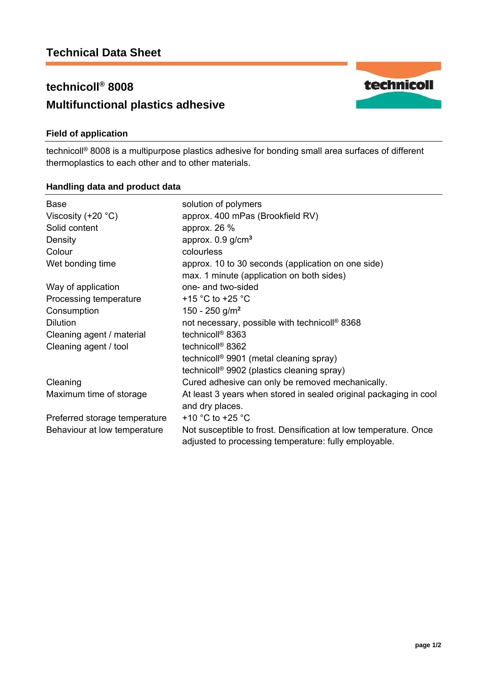# **technicoll® 8008 Multifunctional plastics adhesive**

## **Field of application**

technicoll® 8008 is a multipurpose plastics adhesive for bonding small area surfaces of different thermoplastics to each other and to other materials.

### **Handling data and product data**

| Base                          | solution of polymers                                              |
|-------------------------------|-------------------------------------------------------------------|
| Viscosity $(+20 °C)$          | approx. 400 mPas (Brookfield RV)                                  |
| Solid content                 | approx. $26\%$                                                    |
| Density                       | approx. $0.9$ g/cm <sup>3</sup>                                   |
| Colour                        | colourless                                                        |
| Wet bonding time              | approx. 10 to 30 seconds (application on one side)                |
|                               | max. 1 minute (application on both sides)                         |
| Way of application            | one- and two-sided                                                |
| Processing temperature        | +15 $\degree$ C to +25 $\degree$ C                                |
| Consumption                   | 150 - 250 g/m <sup>2</sup>                                        |
| <b>Dilution</b>               | not necessary, possible with technicoll <sup>®</sup> 8368         |
| Cleaning agent / material     | technicoll <sup>®</sup> 8363                                      |
| Cleaning agent / tool         | technicoll <sup>®</sup> 8362                                      |
|                               | technicoll <sup>®</sup> 9901 (metal cleaning spray)               |
|                               | technicoll <sup>®</sup> 9902 (plastics cleaning spray)            |
| Cleaning                      | Cured adhesive can only be removed mechanically.                  |
| Maximum time of storage       | At least 3 years when stored in sealed original packaging in cool |
|                               | and dry places.                                                   |
| Preferred storage temperature | +10 $^{\circ}$ C to +25 $^{\circ}$ C                              |
| Behaviour at low temperature  | Not susceptible to frost. Densification at low temperature. Once  |
|                               | adjusted to processing temperature: fully employable.             |